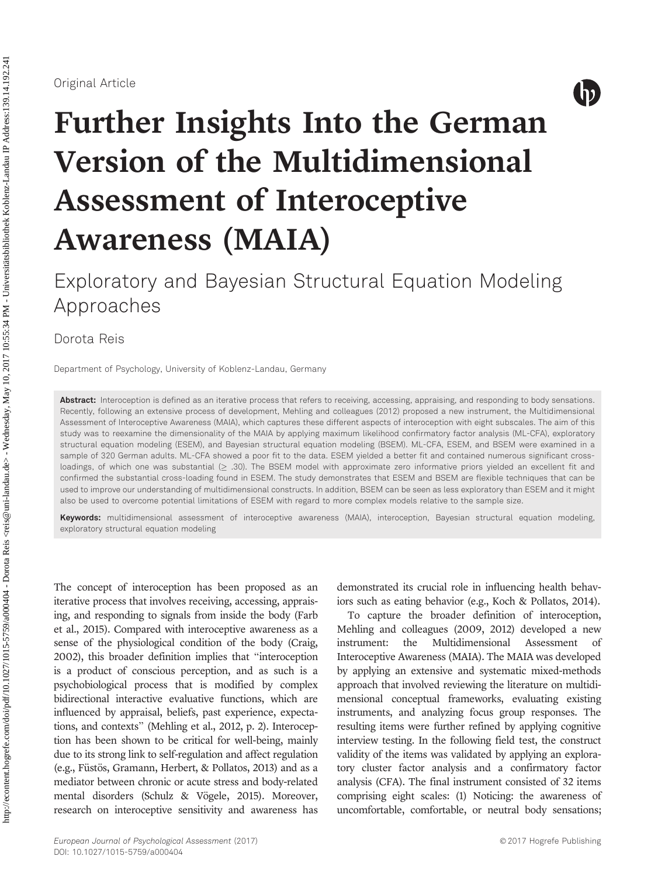

# Further Insights Into the German Version of the Multidimensional Assessment of Interoceptive Awareness (MAIA)

Exploratory and Bayesian Structural Equation Modeling Approaches

Dorota Reis

Department of Psychology, University of Koblenz-Landau, Germany

Abstract: Interoception is defined as an iterative process that refers to receiving, accessing, appraising, and responding to body sensations. Recently, following an extensive process of development, Mehling and colleagues (2012) proposed a new instrument, the Multidimensional Assessment of Interoceptive Awareness (MAIA), which captures these different aspects of interoception with eight subscales. The aim of this study was to reexamine the dimensionality of the MAIA by applying maximum likelihood confirmatory factor analysis (ML-CFA), exploratory structural equation modeling (ESEM), and Bayesian structural equation modeling (BSEM). ML-CFA, ESEM, and BSEM were examined in a sample of 320 German adults. ML-CFA showed a poor fit to the data. ESEM yielded a better fit and contained numerous significant crossloadings, of which one was substantial  $( \geq .30)$ . The BSEM model with approximate zero informative priors yielded an excellent fit and confirmed the substantial cross-loading found in ESEM. The study demonstrates that ESEM and BSEM are flexible techniques that can be used to improve our understanding of multidimensional constructs. In addition, BSEM can be seen as less exploratory than ESEM and it might also be used to overcome potential limitations of ESEM with regard to more complex models relative to the sample size.

Keywords: multidimensional assessment of interoceptive awareness (MAIA), interoception, Bayesian structural equation modeling, exploratory structural equation modeling

The concept of interoception has been proposed as an iterative process that involves receiving, accessing, appraising, and responding to signals from inside the body (Farb et al., 2015). Compared with interoceptive awareness as a sense of the physiological condition of the body (Craig, 2002), this broader definition implies that "interoception is a product of conscious perception, and as such is a psychobiological process that is modified by complex bidirectional interactive evaluative functions, which are influenced by appraisal, beliefs, past experience, expectations, and contexts" (Mehling et al., 2012, p. 2). Interoception has been shown to be critical for well-being, mainly due to its strong link to self-regulation and affect regulation (e.g., Füstös, Gramann, Herbert, & Pollatos, 2013) and as a mediator between chronic or acute stress and body-related mental disorders (Schulz & Vögele, 2015). Moreover, research on interoceptive sensitivity and awareness has demonstrated its crucial role in influencing health behaviors such as eating behavior (e.g., Koch & Pollatos, 2014).

To capture the broader definition of interoception, Mehling and colleagues (2009, 2012) developed a new instrument: the Multidimensional Assessment of Interoceptive Awareness (MAIA). The MAIA was developed by applying an extensive and systematic mixed-methods approach that involved reviewing the literature on multidimensional conceptual frameworks, evaluating existing instruments, and analyzing focus group responses. The resulting items were further refined by applying cognitive interview testing. In the following field test, the construct validity of the items was validated by applying an exploratory cluster factor analysis and a confirmatory factor analysis (CFA). The final instrument consisted of 32 items comprising eight scales: (1) Noticing: the awareness of uncomfortable, comfortable, or neutral body sensations;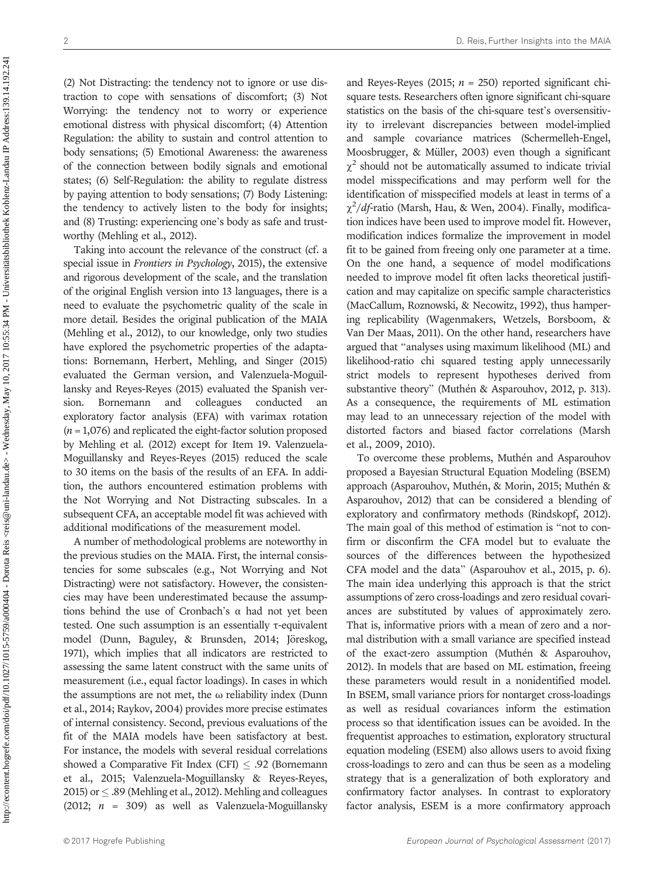http://econtent.hogrefe.com/doi/pdf/10.1027/1015-5759/a000404 - Dorota Reis <reis@uni-landau.de> - Wednesday, May 10, 2017 10:55:34 PM - Universitätsbibliothek Koblenz-Landau IP Address:139.14.192.241 http://econtent.hogrefe.com/doi/pdf/10.1027/1015-5759/a000404 - Dorota Reis <reis@uni-landau.de> - Wednesday, May 10, 2017 10:55:34 PM - Universitätsbibliothek Koblenz-Landau IP Address:139.14.192.241

(2) Not Distracting: the tendency not to ignore or use distraction to cope with sensations of discomfort; (3) Not Worrying: the tendency not to worry or experience emotional distress with physical discomfort; (4) Attention Regulation: the ability to sustain and control attention to body sensations; (5) Emotional Awareness: the awareness of the connection between bodily signals and emotional states; (6) Self-Regulation: the ability to regulate distress by paying attention to body sensations; (7) Body Listening: the tendency to actively listen to the body for insights; and (8) Trusting: experiencing one's body as safe and trustworthy (Mehling et al., 2012).

Taking into account the relevance of the construct (cf. a special issue in Frontiers in Psychology, 2015), the extensive and rigorous development of the scale, and the translation of the original English version into 13 languages, there is a need to evaluate the psychometric quality of the scale in more detail. Besides the original publication of the MAIA (Mehling et al., 2012), to our knowledge, only two studies have explored the psychometric properties of the adaptations: Bornemann, Herbert, Mehling, and Singer (2015) evaluated the German version, and Valenzuela-Moguillansky and Reyes-Reyes (2015) evaluated the Spanish version. Bornemann and colleagues conducted an exploratory factor analysis (EFA) with varimax rotation  $(n = 1,076)$  and replicated the eight-factor solution proposed by Mehling et al. (2012) except for Item 19. Valenzuela-Moguillansky and Reyes-Reyes (2015) reduced the scale to 30 items on the basis of the results of an EFA. In addition, the authors encountered estimation problems with the Not Worrying and Not Distracting subscales. In a subsequent CFA, an acceptable model fit was achieved with additional modifications of the measurement model.

A number of methodological problems are noteworthy in the previous studies on the MAIA. First, the internal consistencies for some subscales (e.g., Not Worrying and Not Distracting) were not satisfactory. However, the consistencies may have been underestimated because the assumptions behind the use of Cronbach's  $\alpha$  had not yet been tested. One such assumption is an essentially τ-equivalent model (Dunn, Baguley, & Brunsden, 2014; Jöreskog, 1971), which implies that all indicators are restricted to assessing the same latent construct with the same units of measurement (i.e., equal factor loadings). In cases in which the assumptions are not met, the  $\omega$  reliability index (Dunn et al., 2014; Raykov, 2004) provides more precise estimates of internal consistency. Second, previous evaluations of the fit of the MAIA models have been satisfactory at best. For instance, the models with several residual correlations showed a Comparative Fit Index (CFI)  $\leq$  .92 (Bornemann et al., 2015; Valenzuela-Moguillansky & Reyes-Reyes, 2015) or  $\leq$  .89 (Mehling et al., 2012). Mehling and colleagues (2012;  $n = 309$ ) as well as Valenzuela-Moguillansky and Reyes-Reyes (2015;  $n = 250$ ) reported significant chisquare tests. Researchers often ignore significant chi-square statistics on the basis of the chi-square test's oversensitivity to irrelevant discrepancies between model-implied and sample covariance matrices (Schermelleh-Engel, Moosbrugger, & Müller, 2003) even though a significant  $\chi^2$  should not be automatically assumed to indicate trivial model misspecifications and may perform well for the identification of misspecified models at least in terms of a  $\chi^2/df$ -ratio (Marsh, Hau, & Wen, 2004). Finally, modification indices have been used to improve model fit. However, modification indices formalize the improvement in model fit to be gained from freeing only one parameter at a time. On the one hand, a sequence of model modifications needed to improve model fit often lacks theoretical justification and may capitalize on specific sample characteristics (MacCallum, Roznowski, & Necowitz, 1992), thus hampering replicability (Wagenmakers, Wetzels, Borsboom, & Van Der Maas, 2011). On the other hand, researchers have argued that "analyses using maximum likelihood (ML) and likelihood-ratio chi squared testing apply unnecessarily strict models to represent hypotheses derived from substantive theory" (Muthén & Asparouhov, 2012, p. 313). As a consequence, the requirements of ML estimation may lead to an unnecessary rejection of the model with distorted factors and biased factor correlations (Marsh et al., 2009, 2010).

To overcome these problems, Muthén and Asparouhov proposed a Bayesian Structural Equation Modeling (BSEM) approach (Asparouhov, Muthén, & Morin, 2015; Muthén & Asparouhov, 2012) that can be considered a blending of exploratory and confirmatory methods (Rindskopf, 2012). The main goal of this method of estimation is "not to confirm or disconfirm the CFA model but to evaluate the sources of the differences between the hypothesized CFA model and the data" (Asparouhov et al., 2015, p. 6). The main idea underlying this approach is that the strict assumptions of zero cross-loadings and zero residual covariances are substituted by values of approximately zero. That is, informative priors with a mean of zero and a normal distribution with a small variance are specified instead of the exact-zero assumption (Muthén & Asparouhov, 2012). In models that are based on ML estimation, freeing these parameters would result in a nonidentified model. In BSEM, small variance priors for nontarget cross-loadings as well as residual covariances inform the estimation process so that identification issues can be avoided. In the frequentist approaches to estimation, exploratory structural equation modeling (ESEM) also allows users to avoid fixing cross-loadings to zero and can thus be seen as a modeling strategy that is a generalization of both exploratory and confirmatory factor analyses. In contrast to exploratory factor analysis, ESEM is a more confirmatory approach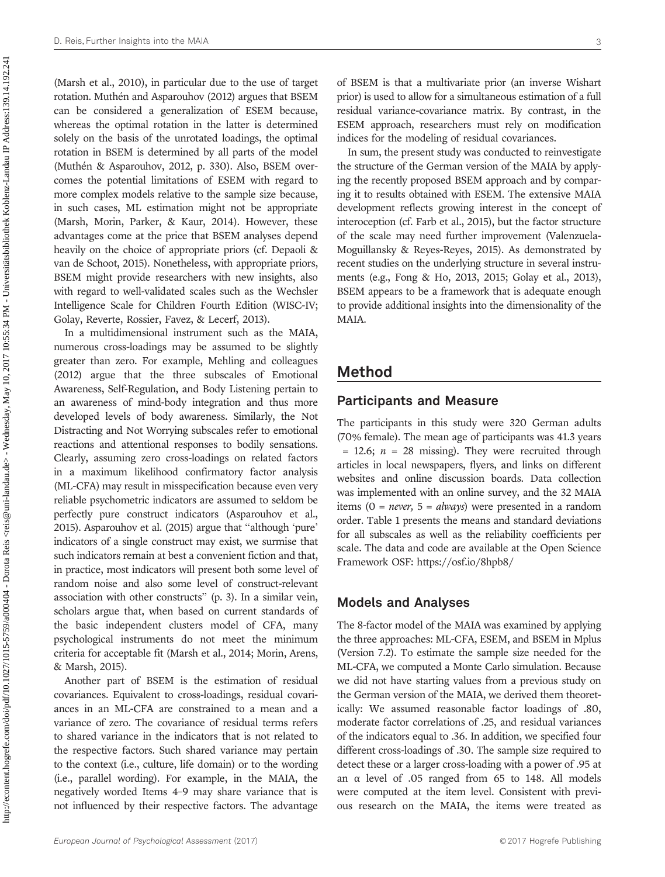(Marsh et al., 2010), in particular due to the use of target rotation. Muthén and Asparouhov (2012) argues that BSEM can be considered a generalization of ESEM because, whereas the optimal rotation in the latter is determined solely on the basis of the unrotated loadings, the optimal rotation in BSEM is determined by all parts of the model (Muthén & Asparouhov, 2012, p. 330). Also, BSEM overcomes the potential limitations of ESEM with regard to more complex models relative to the sample size because, in such cases, ML estimation might not be appropriate (Marsh, Morin, Parker, & Kaur, 2014). However, these advantages come at the price that BSEM analyses depend heavily on the choice of appropriate priors (cf. Depaoli & van de Schoot, 2015). Nonetheless, with appropriate priors, BSEM might provide researchers with new insights, also with regard to well-validated scales such as the Wechsler Intelligence Scale for Children Fourth Edition (WISC-IV; Golay, Reverte, Rossier, Favez, & Lecerf, 2013).

In a multidimensional instrument such as the MAIA, numerous cross-loadings may be assumed to be slightly greater than zero. For example, Mehling and colleagues (2012) argue that the three subscales of Emotional Awareness, Self-Regulation, and Body Listening pertain to an awareness of mind-body integration and thus more developed levels of body awareness. Similarly, the Not Distracting and Not Worrying subscales refer to emotional reactions and attentional responses to bodily sensations. Clearly, assuming zero cross-loadings on related factors in a maximum likelihood confirmatory factor analysis (ML-CFA) may result in misspecification because even very reliable psychometric indicators are assumed to seldom be perfectly pure construct indicators (Asparouhov et al., 2015). Asparouhov et al. (2015) argue that "although 'pure' indicators of a single construct may exist, we surmise that such indicators remain at best a convenient fiction and that, in practice, most indicators will present both some level of random noise and also some level of construct-relevant association with other constructs" (p. 3). In a similar vein, scholars argue that, when based on current standards of the basic independent clusters model of CFA, many psychological instruments do not meet the minimum criteria for acceptable fit (Marsh et al., 2014; Morin, Arens, & Marsh, 2015).

Another part of BSEM is the estimation of residual covariances. Equivalent to cross-loadings, residual covariances in an ML-CFA are constrained to a mean and a variance of zero. The covariance of residual terms refers to shared variance in the indicators that is not related to the respective factors. Such shared variance may pertain to the context (i.e., culture, life domain) or to the wording (i.e., parallel wording). For example, in the MAIA, the negatively worded Items 4–9 may share variance that is not influenced by their respective factors. The advantage of BSEM is that a multivariate prior (an inverse Wishart prior) is used to allow for a simultaneous estimation of a full residual variance-covariance matrix. By contrast, in the ESEM approach, researchers must rely on modification indices for the modeling of residual covariances.

In sum, the present study was conducted to reinvestigate the structure of the German version of the MAIA by applying the recently proposed BSEM approach and by comparing it to results obtained with ESEM. The extensive MAIA development reflects growing interest in the concept of interoception (cf. Farb et al., 2015), but the factor structure of the scale may need further improvement (Valenzuela-Moguillansky & Reyes-Reyes, 2015). As demonstrated by recent studies on the underlying structure in several instruments (e.g., Fong & Ho, 2013, 2015; Golay et al., 2013), BSEM appears to be a framework that is adequate enough to provide additional insights into the dimensionality of the MAIA.

## Method

#### Participants and Measure

The participants in this study were 320 German adults (70% female). The mean age of participants was 41.3 years  $= 12.6$ ;  $n = 28$  missing). They were recruited through articles in local newspapers, flyers, and links on different websites and online discussion boards. Data collection was implemented with an online survey, and the 32 MAIA items (0 = *never*,  $5 = always$ ) were presented in a random order. Table 1 presents the means and standard deviations for all subscales as well as the reliability coefficients per scale. The data and code are available at the Open Science Framework OSF: [https://osf.io/](https://osf.io/8hpb8/)8hpb8/

#### Models and Analyses

The 8-factor model of the MAIA was examined by applying the three approaches: ML-CFA, ESEM, and BSEM in Mplus (Version 7.2). To estimate the sample size needed for the ML-CFA, we computed a Monte Carlo simulation. Because we did not have starting values from a previous study on the German version of the MAIA, we derived them theoretically: We assumed reasonable factor loadings of .80, moderate factor correlations of .25, and residual variances of the indicators equal to .36. In addition, we specified four different cross-loadings of .30. The sample size required to detect these or a larger cross-loading with a power of .95 at an α level of .05 ranged from 65 to 148. All models were computed at the item level. Consistent with previous research on the MAIA, the items were treated as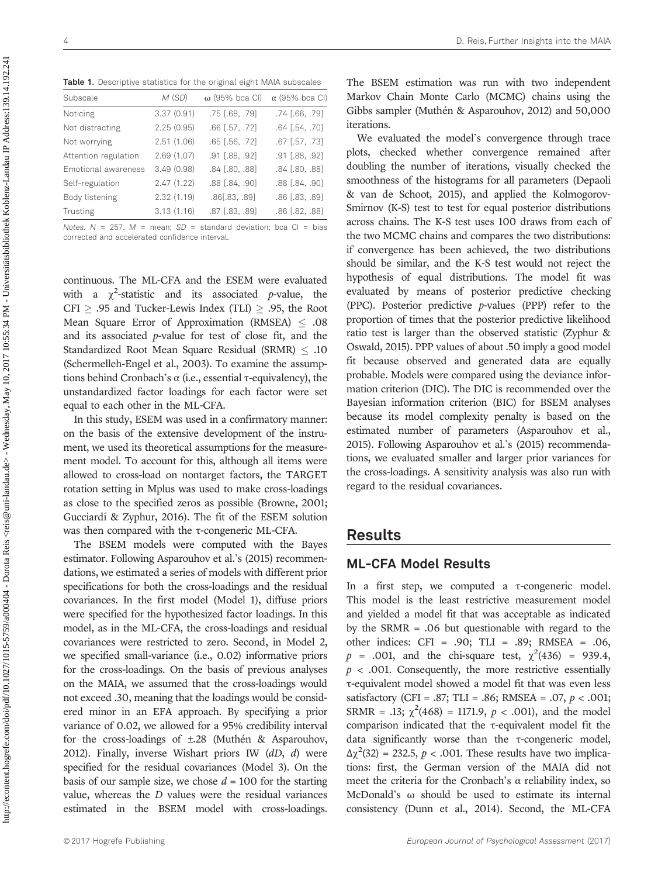| <b>Table 1.</b> Descriptive statistics for the original eight MAIA subscales |            |                       |                       |  |  |  |  |  |  |  |
|------------------------------------------------------------------------------|------------|-----------------------|-----------------------|--|--|--|--|--|--|--|
| Subscale                                                                     | M(SD)      | $\omega$ (95% bca CI) | $\alpha$ (95% bca CI) |  |  |  |  |  |  |  |
| Noticing                                                                     | 3.37(0.91) | $.75$ $[.68, .79]$    | $.74$ $[.66, .79]$    |  |  |  |  |  |  |  |
| Not distracting                                                              | 2.25(0.95) | $.66$ [.57, .72]      | $.64$ $(.54, .70)$    |  |  |  |  |  |  |  |
| Not worrying                                                                 | 2.51(1.06) | $.65$ $[.56, .72]$    | $.67$ [.57, .73]      |  |  |  |  |  |  |  |
| Attention regulation                                                         | 2.69(1.07) | $.91$ $[.88, .92]$    | $.91$ $[.88, .92]$    |  |  |  |  |  |  |  |
| Emotional awareness                                                          | 3.49(0.98) | $.84$ $[.80, .88]$    | $.84$ $[.80, .88]$    |  |  |  |  |  |  |  |
| Self-regulation                                                              | 2.47(1.22) | $.88$ $[.84, .90]$    | $.88$ $[.84, .90]$    |  |  |  |  |  |  |  |
| Body listening                                                               | 2.32(1.19) | .86[.83, .89]         | $.86$ $[.83, .89]$    |  |  |  |  |  |  |  |
| Trusting                                                                     | 3.13(1.16) | .87 [.83, .89]        | .86 [.82, .88]        |  |  |  |  |  |  |  |
|                                                                              |            |                       |                       |  |  |  |  |  |  |  |

**Table 1.** Descriptive statistics for the original eight MAIA subscales

Notes.  $N = 257$ .  $M =$  mean;  $SD =$  standard deviation; bca CI = bias corrected and accelerated confidence interval.

continuous. The ML-CFA and the ESEM were evaluated with a  $\chi^2$ -statistic and its associated p-value, the CFI  $\ge$  .95 and Tucker-Lewis Index (TLI)  $\ge$  .95, the Root Mean Square Error of Approximation (RMSEA)  $\leq .08$ and its associated p-value for test of close fit, and the Standardized Root Mean Square Residual (SRMR)  $\leq .10$ (Schermelleh-Engel et al., 2003). To examine the assumptions behind Cronbach's α (i.e., essential τ-equivalency), the unstandardized factor loadings for each factor were set equal to each other in the ML-CFA.

In this study, ESEM was used in a confirmatory manner: on the basis of the extensive development of the instrument, we used its theoretical assumptions for the measurement model. To account for this, although all items were allowed to cross-load on nontarget factors, the TARGET rotation setting in Mplus was used to make cross-loadings as close to the specified zeros as possible (Browne, 2001; Gucciardi & Zyphur, 2016). The fit of the ESEM solution was then compared with the τ-congeneric ML-CFA.

The BSEM models were computed with the Bayes estimator. Following Asparouhov et al.'s (2015) recommendations, we estimated a series of models with different prior specifications for both the cross-loadings and the residual covariances. In the first model (Model 1), diffuse priors were specified for the hypothesized factor loadings. In this model, as in the ML-CFA, the cross-loadings and residual covariances were restricted to zero. Second, in Model 2, we specified small-variance (i.e., 0.02) informative priors for the cross-loadings. On the basis of previous analyses on the MAIA, we assumed that the cross-loadings would not exceed .30, meaning that the loadings would be considered minor in an EFA approach. By specifying a prior variance of 0.02, we allowed for a 95% credibility interval for the cross-loadings of ±.28 (Muthén & Asparouhov, 2012). Finally, inverse Wishart priors IW  $(dD, d)$  were specified for the residual covariances (Model 3). On the basis of our sample size, we chose  $d = 100$  for the starting value, whereas the D values were the residual variances estimated in the BSEM model with cross-loadings.

The BSEM estimation was run with two independent Markov Chain Monte Carlo (MCMC) chains using the Gibbs sampler (Muthén & Asparouhov, 2012) and 50,000 iterations.

We evaluated the model's convergence through trace plots, checked whether convergence remained after doubling the number of iterations, visually checked the smoothness of the histograms for all parameters (Depaoli & van de Schoot, 2015), and applied the Kolmogorov-Smirnov (K-S) test to test for equal posterior distributions across chains. The K-S test uses 100 draws from each of the two MCMC chains and compares the two distributions: if convergence has been achieved, the two distributions should be similar, and the K-S test would not reject the hypothesis of equal distributions. The model fit was evaluated by means of posterior predictive checking (PPC). Posterior predictive p-values (PPP) refer to the proportion of times that the posterior predictive likelihood ratio test is larger than the observed statistic (Zyphur & Oswald, 2015). PPP values of about .50 imply a good model fit because observed and generated data are equally probable. Models were compared using the deviance information criterion (DIC). The DIC is recommended over the Bayesian information criterion (BIC) for BSEM analyses because its model complexity penalty is based on the estimated number of parameters (Asparouhov et al., 2015). Following Asparouhov et al.'s (2015) recommendations, we evaluated smaller and larger prior variances for the cross-loadings. A sensitivity analysis was also run with regard to the residual covariances.

# Results

#### ML-CFA Model Results

In a first step, we computed a τ-congeneric model. This model is the least restrictive measurement model and yielded a model fit that was acceptable as indicated by the  $SRMR = .06$  but questionable with regard to the other indices: CFI = .90; TLI = .89; RMSEA = .06,  $p = .001$ , and the chi-square test,  $\chi^2(436) = 939.4$ ,  $p$  < .001. Consequently, the more restrictive essentially τ-equivalent model showed a model fit that was even less satisfactory (CFI = .87; TLI = .86; RMSEA = .07,  $p < .001$ ; SRMR = .13;  $\chi^2(468) = 1171.9$ ,  $p < .001$ ), and the model comparison indicated that the τ-equivalent model fit the data significantly worse than the τ-congeneric model,  $\Delta \chi^2(32) = 232.5$ ,  $p < .001$ . These results have two implications: first, the German version of the MAIA did not meet the criteria for the Cronbach's  $\alpha$  reliability index, so McDonald's ω should be used to estimate its internal consistency (Dunn et al., 2014). Second, the ML-CFA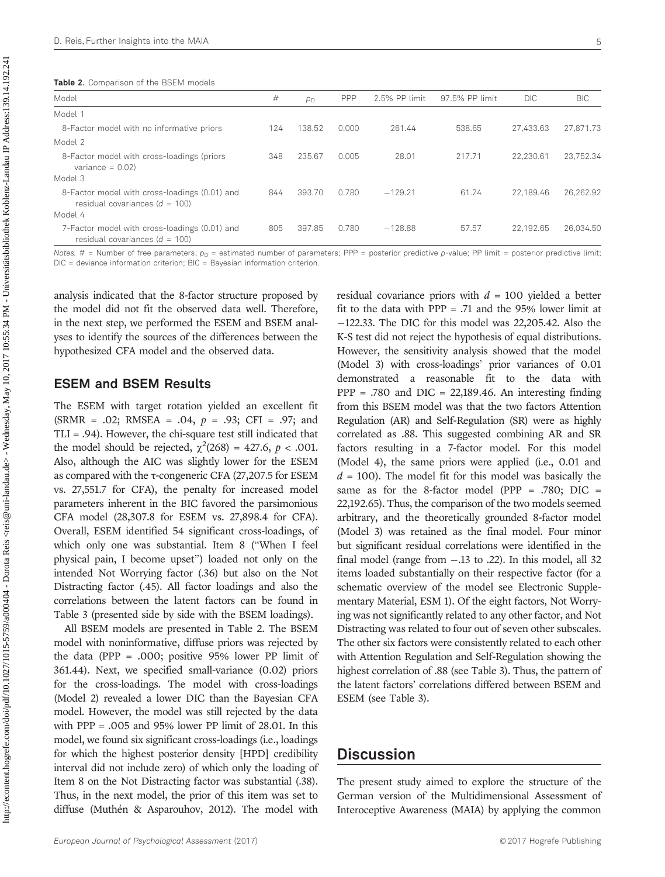| Model                                                                               | #   | $p_{\rm D}$ | PPP   | 2.5% PP limit | 97.5% PP limit | <b>DIC</b> | <b>BIC</b> |
|-------------------------------------------------------------------------------------|-----|-------------|-------|---------------|----------------|------------|------------|
| Model 1                                                                             |     |             |       |               |                |            |            |
| 8-Factor model with no informative priors                                           | 124 | 138.52      | 0.000 | 261.44        | 538.65         | 27.433.63  | 27.871.73  |
| Model 2                                                                             |     |             |       |               |                |            |            |
| 8-Factor model with cross-loadings (priors<br>variance $= 0.02$                     | 348 | 235.67      | 0.005 | 28.01         | 217.71         | 22.230.61  | 23.752.34  |
| Model 3                                                                             |     |             |       |               |                |            |            |
| 8-Factor model with cross-loadings (0.01) and<br>residual covariances ( $d = 100$ ) | 844 | 393.70      | 0.780 | $-129.21$     | 61.24          | 22.189.46  | 26.262.92  |
| Model 4                                                                             |     |             |       |               |                |            |            |
| 7-Factor model with cross-loadings (0.01) and<br>residual covariances ( $d = 100$ ) | 805 | 397.85      | 0.780 | $-128.88$     | 57.57          | 22.192.65  | 26.034.50  |

Notes. # = Number of free parameters;  $p_D$  = estimated number of parameters; PPP = posterior predictive p-value; PP limit = posterior predictive limit: DIC = deviance information criterion; BIC = Bayesian information criterion.

analysis indicated that the 8-factor structure proposed by the model did not fit the observed data well. Therefore, in the next step, we performed the ESEM and BSEM analyses to identify the sources of the differences between the hypothesized CFA model and the observed data.

#### ESEM and BSEM Results

The ESEM with target rotation yielded an excellent fit  $(SRMR = .02; RMSEA = .04, p = .93; CFI = .97; and$ TLI = .94). However, the chi-square test still indicated that the model should be rejected,  $\chi^2(268) = 427.6$ ,  $p < .001$ . Also, although the AIC was slightly lower for the ESEM as compared with the τ-congeneric CFA (27,207.5 for ESEM vs. 27,551.7 for CFA), the penalty for increased model parameters inherent in the BIC favored the parsimonious CFA model (28,307.8 for ESEM vs. 27,898.4 for CFA). Overall, ESEM identified 54 significant cross-loadings, of which only one was substantial. Item 8 ("When I feel physical pain, I become upset") loaded not only on the intended Not Worrying factor (.36) but also on the Not Distracting factor (.45). All factor loadings and also the correlations between the latent factors can be found in Table 3 (presented side by side with the BSEM loadings).

All BSEM models are presented in Table 2. The BSEM model with noninformative, diffuse priors was rejected by the data (PPP = .000; positive 95% lower PP limit of 361.44). Next, we specified small-variance (0.02) priors for the cross-loadings. The model with cross-loadings (Model 2) revealed a lower DIC than the Bayesian CFA model. However, the model was still rejected by the data with  $PPP = .005$  and 95% lower PP limit of 28.01. In this model, we found six significant cross-loadings (i.e., loadings for which the highest posterior density [HPD] credibility interval did not include zero) of which only the loading of Item 8 on the Not Distracting factor was substantial (.38). Thus, in the next model, the prior of this item was set to diffuse (Muthén & Asparouhov, 2012). The model with residual covariance priors with  $d = 100$  yielded a better fit to the data with  $PPP = .71$  and the 95% lower limit at  $-122.33$ . The DIC for this model was 22,205.42. Also the K-S test did not reject the hypothesis of equal distributions. However, the sensitivity analysis showed that the model (Model 3) with cross-loadings' prior variances of 0.01 demonstrated a reasonable fit to the data with  $PPP = .780$  and  $DIC = 22,189.46$ . An interesting finding from this BSEM model was that the two factors Attention Regulation (AR) and Self-Regulation (SR) were as highly correlated as .88. This suggested combining AR and SR factors resulting in a 7-factor model. For this model (Model 4), the same priors were applied (i.e., 0.01 and  $d = 100$ ). The model fit for this model was basically the same as for the 8-factor model (PPP =  $.780$ ; DIC = 22,192.65). Thus, the comparison of the two models seemed arbitrary, and the theoretically grounded 8-factor model (Model 3) was retained as the final model. Four minor but significant residual correlations were identified in the final model (range from  $-.13$  to  $.22$ ). In this model, all 32 items loaded substantially on their respective factor (for a schematic overview of the model see Electronic Supplementary Material, ESM 1). Of the eight factors, Not Worrying was not significantly related to any other factor, and Not Distracting was related to four out of seven other subscales. The other six factors were consistently related to each other with Attention Regulation and Self-Regulation showing the highest correlation of .88 (see Table 3). Thus, the pattern of the latent factors' correlations differed between BSEM and ESEM (see Table 3).

## **Discussion**

The present study aimed to explore the structure of the German version of the Multidimensional Assessment of Interoceptive Awareness (MAIA) by applying the common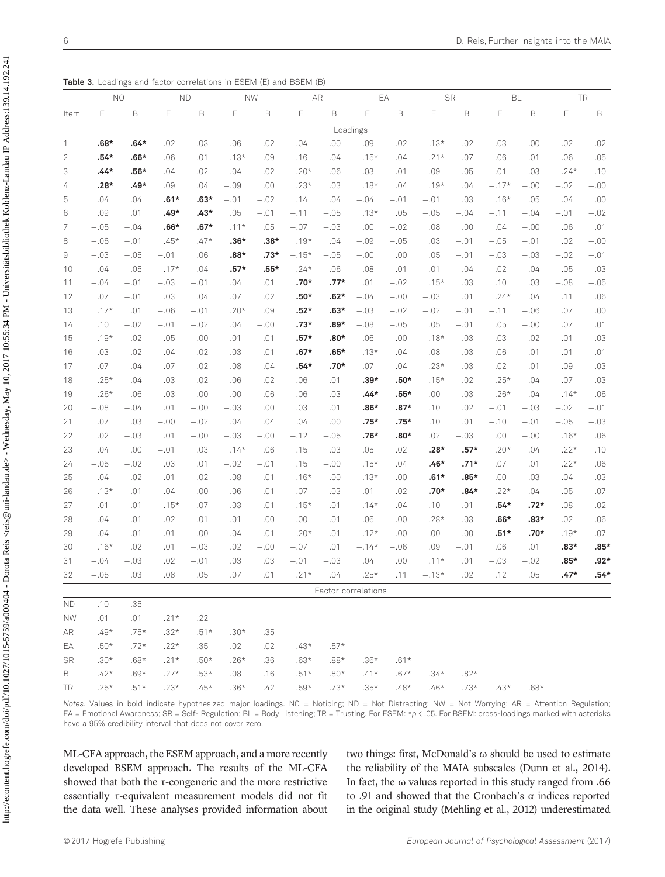http://econtent.hogrefe.com/doi/pdf/10.1027/1015-5759/a000404 - Dorota Reis <reis@uni-landau.de> - Wednesday, May 10, 2017 10:55:34 PM - Universitätsbibliothek Koblenz-Landau IP Address:139.14.192.241 http://econtent.hogrefe.com/doi/pdf/10.1027/1015-5759/a0000404 - Dorota Reis <reis@uni-landau.de> - Wednesday, May 10, 2017 10:55:34 PM - Universitätsbibliothek Koblenz-Landau IP Address:139.14.192.241

Table 3. Loadings and factor correlations in ESEM (E) and BSEM (B)

|                |        | N <sub>O</sub> |         | <b>ND</b> |             | <b>NW</b> |         | AR     |                     | EA     |         | <b>SR</b> |             | <b>BL</b> |         | <b>TR</b>   |  |
|----------------|--------|----------------|---------|-----------|-------------|-----------|---------|--------|---------------------|--------|---------|-----------|-------------|-----------|---------|-------------|--|
| Item           | E      | B              | E       | B         | $\mathsf E$ | B         | Ε       | B      | E                   | B      | E       | B         | $\mathsf E$ | B         | Ε       | $\mathsf B$ |  |
|                |        |                |         |           |             |           |         |        | Loadings            |        |         |           |             |           |         |             |  |
| 1              | $.68*$ | $.64*$         | $-.02$  | $-.03$    | .06         | .02       | $-.04$  | .00    | .09                 | .02    | $.13*$  | .02       | $-.03$      | $-.00$    | .02     | $-.02$      |  |
| $\overline{2}$ | $.54*$ | $.66*$         | .06     | .01       | $-.13*$     | $-.09$    | .16     | $-.04$ | $.15*$              | .04    | $-.21*$ | $-.07$    | .06         | $-.01$    | $-.06$  | $-.05$      |  |
| 3              | $.44*$ | $.56*$         | $-.04$  | $-.02$    | $-.04$      | .02       | $.20*$  | .06    | .03                 | $-.01$ | .09     | .05       | $-.01$      | .03       | $.24*$  | .10         |  |
| 4              | .28*   | .49*           | .09     | .04       | $-.09$      | .00       | $.23*$  | .03    | $.18*$              | .04    | $.19*$  | .04       | $-.17*$     | $-.00$    | $-.02$  | $-.00$      |  |
| 5              | .04    | .04            | $.61*$  | $.63*$    | $-.01$      | $-.02$    | .14     | .04    | $-.04$              | $-.01$ | $-.01$  | .03       | $.16*$      | .05       | .04     | $.00$       |  |
| 6              | .09    | .01            | $.49*$  | $.43*$    | .05         | $-.01$    | $-.11$  | $-.05$ | $.13*$              | .05    | $-.05$  | $-.04$    | $-.11$      | $-.04$    | $-.01$  | $-.02$      |  |
| 7              | $-.05$ | $-.04$         | $.66*$  | $.67*$    | $.11*$      | .05       | $-.07$  | $-.03$ | .00                 | $-.02$ | .08     | .00       | .04         | $-.00$    | .06     | .01         |  |
| 8              | $-.06$ | $-.01$         | $.45*$  | $.47*$    | $.36*$      | $.38*$    | $.19*$  | .04    | $-.09$              | $-.05$ | .03     | $-.01$    | $-.05$      | $-.01$    | .02     | $-.00$      |  |
| 9              | $-.03$ | $-.05$         | $-.01$  | .06       | $.88*$      | $.73*$    | $-.15*$ | $-.05$ | $-.00$              | .00    | .05     | $-.01$    | $-.03$      | $-.03$    | $-.02$  | $-.01$      |  |
| 10             | $-.04$ | .05            | $-.17*$ | $-.04$    | $.57*$      | $.55*$    | $.24*$  | .06    | .08                 | .01    | $-.01$  | .04       | $-.02$      | .04       | .05     | .03         |  |
| 11             | $-.04$ | $-.01$         | $-.03$  | $-.01$    | .04         | .01       | $.70*$  | .77*   | .01                 | $-.02$ | $.15*$  | .03       | .10         | .03       | $-.08$  | $-.05$      |  |
| 12             | .07    | $-.01$         | .03     | .04       | .07         | .02       | $.50*$  | $.62*$ | $-.04$              | $-.00$ | $-.03$  | .01       | $.24*$      | .04       | .11     | .06         |  |
| 13             | $.17*$ | .01            | $-.06$  | $-.01$    | $.20*$      | .09       | $.52*$  | $.63*$ | $-.03$              | $-.02$ | $-.02$  | $-.01$    | $-.11$      | $-.06$    | .07     | .00.        |  |
| 14             | .10    | $-.02$         | $-.01$  | $-.02$    | .04         | $-.00$    | $.73*$  | .89*   | $-.08$              | $-.05$ | .05     | $-.01$    | .05         | $-.00$    | .07     | .01         |  |
| 15             | $.19*$ | .02            | .05     | .00       | .01         | $-.01$    | $.57*$  | $.80*$ | $-.06$              | .00    | $.18*$  | .03       | .03         | $-.02$    | .01     | $-.03$      |  |
| 16             | $-.03$ | .02            | .04     | .02       | .03         | .01       | $.67*$  | .65*   | $.13*$              | .04    | $-.08$  | $-.03$    | .06         | .01       | $-.01$  | $-.01$      |  |
| 17             | .07    | .04            | .07     | .02       | $-.08$      | $-.04$    | $.54*$  | .70*   | .07                 | .04    | $.23*$  | .03       | $-.02$      | .01       | .09     | .03         |  |
| 18             | $.25*$ | .04            | .03     | .02       | .06         | $-.02$    | $-.06$  | .01    | $.39*$              | .50*   | $-.15*$ | $-.02$    | $.25*$      | .04       | .07     | .03         |  |
| 19             | $.26*$ | .06            | .03     | $-.00$    | $-.00$      | $-.06$    | $-.06$  | .03    | .44*                | .55*   | .00     | .03       | $.26*$      | .04       | $-.14*$ | $-.06$      |  |
| 20             | $-.08$ | $-.04$         | .01     | $-.00$    | $-.03$      | .00       | .03     | .01    | .86*                | .87*   | .10     | .02       | $-.01$      | $-.03$    | $-.02$  | $-.01$      |  |
| 21             | .07    | .03            | $-.00$  | $-.02$    | .04         | .04       | .04     | .00    | .75*                | .75*   | .10     | .01       | $-.10$      | $-.01$    | $-.05$  | $-.03$      |  |
| 22             | .02    | $-.03$         | .01     | $-.00$    | $-.03$      | $-.00$    | $-.12$  | $-.05$ | $.76*$              | $.80*$ | .02     | $-.03$    | .00         | $-.00$    | $.16*$  | .06         |  |
| 23             | .04    | .00            | $-.01$  | .03       | $.14*$      | .06       | .15     | .03    | .05                 | .02    | $.28*$  | $.57*$    | $.20*$      | .04       | $.22*$  | .10         |  |
| 24             | $-.05$ | $-.02$         | .03     | .01       | $-.02$      | $-.01$    | .15     | $-.00$ | $.15*$              | .04    | $.46*$  | $.71*$    | .07         | .01       | $.22*$  | .06         |  |
| 25             | .04    | .02            | .01     | $-.02$    | .08         | .01       | $.16*$  | $-.00$ | $.13*$              | .00    | $.61*$  | .85*      | .00         | $-.03$    | .04     | $-.03$      |  |
| 26             | $.13*$ | .01            | .04     | .00       | .06         | $-.01$    | .07     | .03    | $-.01$              | $-.02$ | $.70*$  | .84*      | $.22*$      | .04       | $-.05$  | $-.07$      |  |
| 27             | .01    | .01            | $.15*$  | .07       | $-.03$      | $-.01$    | $.15*$  | .01    | $.14*$              | .04    | .10     | .01       | .54*        | .72*      | .08     | .02         |  |
| 28             | .04    | $-.01$         | .02     | $-.01$    | .01         | $-.00$    | $-.00$  | $-.01$ | .06                 | .00    | $.28*$  | .03       | $.66*$      | $.83*$    | $-.02$  | $-.06$      |  |
| 29             | $-.04$ | .01            | .01     | $-.00$    | $-.04$      | $-.01$    | $.20*$  | .01    | $.12*$              | .00    | .00     | $-.00$    | $.51*$      | .70*      | $.19*$  | .07         |  |
| 30             | $.16*$ | .02            | .01     | $-.03$    | .02         | $-.00$    | $-.07$  | .01    | $-.14*$             | $-.06$ | .09     | $-.01$    | .06         | .01       | $.83*$  | $.85*$      |  |
| 31             | $-.04$ | $-.03$         | .02     | $-.01$    | .03         | .03       | $-.01$  | $-.03$ | .04                 | .00    | $.11*$  | .01       | $-.03$      | $-.02$    | $.85*$  | $.92*$      |  |
| 32             | $-.05$ | .03            | .08     | .05       | .07         | .01       | $.21*$  | .04    | $.25*$              | .11    | $-.13*$ | .02       | .12         | .05       | $.47*$  | $.54*$      |  |
|                |        |                |         |           |             |           |         |        | Factor correlations |        |         |           |             |           |         |             |  |
| <b>ND</b>      | .10    | .35            |         |           |             |           |         |        |                     |        |         |           |             |           |         |             |  |
| <b>NW</b>      | $-.01$ | .01            | $.21*$  | .22       |             |           |         |        |                     |        |         |           |             |           |         |             |  |
| AR             | $.49*$ | $.75*$         | $.32*$  | $.51*$    | $.30*$      | .35       |         |        |                     |        |         |           |             |           |         |             |  |
| EA             | $.50*$ | $.72*$         | $.22*$  | .35       | $-.02$      | $-.02$    | $.43*$  | $.57*$ |                     |        |         |           |             |           |         |             |  |
| SR             | $.30*$ | $.68*$         | $.21*$  | $.50*$    | $.26*$      | .36       | $.63*$  | $.88*$ | $.36*$              | $.61*$ |         |           |             |           |         |             |  |
| BL             | $.42*$ | $.69*$         | $.27*$  | $.53*$    | .08         | .16       | $.51*$  | $.80*$ | $.41*$              | $.67*$ | $.34*$  | $.82*$    |             |           |         |             |  |
| TR             | $.25*$ | $.51*$         | $.23*$  | .45*      | $.36*$      | .42       | .59*    | .73*   | $.35*$              | $.48*$ | $.46*$  | .73*      | $.43*$      | $.68*$    |         |             |  |

Notes. Values in bold indicate hypothesized major loadings. NO = Noticing; ND = Not Distracting; NW = Not Worrying; AR = Attention Regulation; EA = Emotional Awareness; SR = Self- Regulation; BL = Body Listening; TR = Trusting. For ESEM: \*p < .05. For BSEM: cross-loadings marked with asterisks have a 95% credibility interval that does not cover zero.

ML-CFA approach, the ESEM approach, and a more recently developed BSEM approach. The results of the ML-CFA showed that both the τ-congeneric and the more restrictive essentially τ-equivalent measurement models did not fit the data well. These analyses provided information about two things: first, McDonald's ω should be used to estimate the reliability of the MAIA subscales (Dunn et al., 2014). In fact, the  $\omega$  values reported in this study ranged from .66 to .91 and showed that the Cronbach's α indices reported in the original study (Mehling et al., 2012) underestimated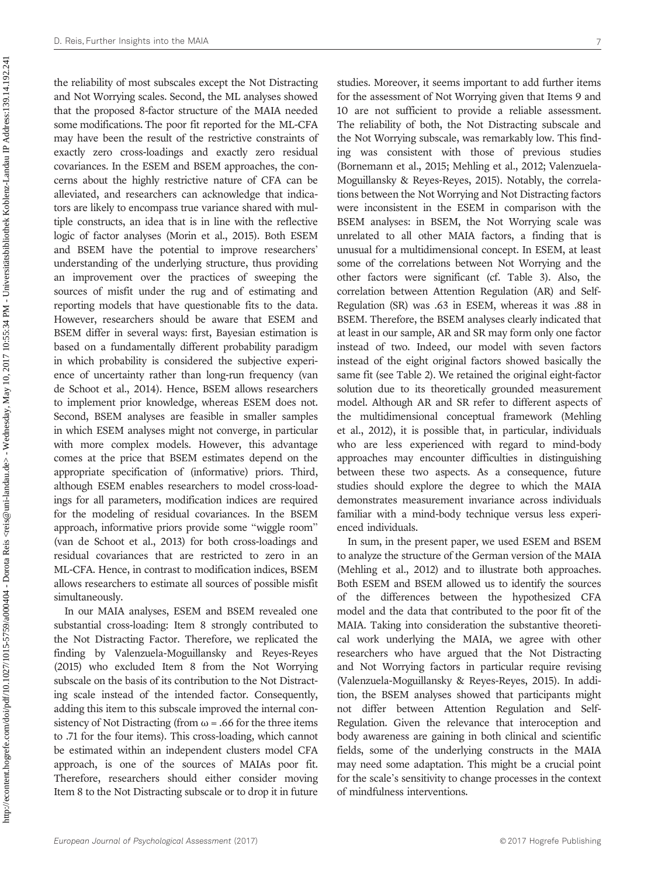the reliability of most subscales except the Not Distracting and Not Worrying scales. Second, the ML analyses showed that the proposed 8-factor structure of the MAIA needed some modifications. The poor fit reported for the ML-CFA may have been the result of the restrictive constraints of exactly zero cross-loadings and exactly zero residual covariances. In the ESEM and BSEM approaches, the concerns about the highly restrictive nature of CFA can be alleviated, and researchers can acknowledge that indicators are likely to encompass true variance shared with multiple constructs, an idea that is in line with the reflective logic of factor analyses (Morin et al., 2015). Both ESEM and BSEM have the potential to improve researchers' understanding of the underlying structure, thus providing an improvement over the practices of sweeping the sources of misfit under the rug and of estimating and reporting models that have questionable fits to the data. However, researchers should be aware that ESEM and BSEM differ in several ways: first, Bayesian estimation is based on a fundamentally different probability paradigm in which probability is considered the subjective experience of uncertainty rather than long-run frequency (van de Schoot et al., 2014). Hence, BSEM allows researchers to implement prior knowledge, whereas ESEM does not. Second, BSEM analyses are feasible in smaller samples in which ESEM analyses might not converge, in particular with more complex models. However, this advantage comes at the price that BSEM estimates depend on the appropriate specification of (informative) priors. Third, although ESEM enables researchers to model cross-loadings for all parameters, modification indices are required for the modeling of residual covariances. In the BSEM approach, informative priors provide some "wiggle room" (van de Schoot et al., 2013) for both cross-loadings and residual covariances that are restricted to zero in an ML-CFA. Hence, in contrast to modification indices, BSEM allows researchers to estimate all sources of possible misfit simultaneously.

In our MAIA analyses, ESEM and BSEM revealed one substantial cross-loading: Item 8 strongly contributed to the Not Distracting Factor. Therefore, we replicated the finding by Valenzuela-Moguillansky and Reyes-Reyes (2015) who excluded Item 8 from the Not Worrying subscale on the basis of its contribution to the Not Distracting scale instead of the intended factor. Consequently, adding this item to this subscale improved the internal consistency of Not Distracting (from  $\omega = .66$  for the three items to .71 for the four items). This cross-loading, which cannot be estimated within an independent clusters model CFA approach, is one of the sources of MAIAs poor fit. Therefore, researchers should either consider moving Item 8 to the Not Distracting subscale or to drop it in future studies. Moreover, it seems important to add further items for the assessment of Not Worrying given that Items 9 and 10 are not sufficient to provide a reliable assessment. The reliability of both, the Not Distracting subscale and the Not Worrying subscale, was remarkably low. This finding was consistent with those of previous studies (Bornemann et al., 2015; Mehling et al., 2012; Valenzuela-Moguillansky & Reyes-Reyes, 2015). Notably, the correlations between the Not Worrying and Not Distracting factors were inconsistent in the ESEM in comparison with the BSEM analyses: in BSEM, the Not Worrying scale was unrelated to all other MAIA factors, a finding that is unusual for a multidimensional concept. In ESEM, at least some of the correlations between Not Worrying and the other factors were significant (cf. Table 3). Also, the correlation between Attention Regulation (AR) and Self-Regulation (SR) was .63 in ESEM, whereas it was .88 in BSEM. Therefore, the BSEM analyses clearly indicated that at least in our sample, AR and SR may form only one factor instead of two. Indeed, our model with seven factors instead of the eight original factors showed basically the same fit (see Table 2). We retained the original eight-factor solution due to its theoretically grounded measurement model. Although AR and SR refer to different aspects of the multidimensional conceptual framework (Mehling et al., 2012), it is possible that, in particular, individuals who are less experienced with regard to mind-body approaches may encounter difficulties in distinguishing between these two aspects. As a consequence, future studies should explore the degree to which the MAIA demonstrates measurement invariance across individuals familiar with a mind-body technique versus less experienced individuals.

In sum, in the present paper, we used ESEM and BSEM to analyze the structure of the German version of the MAIA (Mehling et al., 2012) and to illustrate both approaches. Both ESEM and BSEM allowed us to identify the sources of the differences between the hypothesized CFA model and the data that contributed to the poor fit of the MAIA. Taking into consideration the substantive theoretical work underlying the MAIA, we agree with other researchers who have argued that the Not Distracting and Not Worrying factors in particular require revising (Valenzuela-Moguillansky & Reyes-Reyes, 2015). In addition, the BSEM analyses showed that participants might not differ between Attention Regulation and Self-Regulation. Given the relevance that interoception and body awareness are gaining in both clinical and scientific fields, some of the underlying constructs in the MAIA may need some adaptation. This might be a crucial point for the scale's sensitivity to change processes in the context of mindfulness interventions.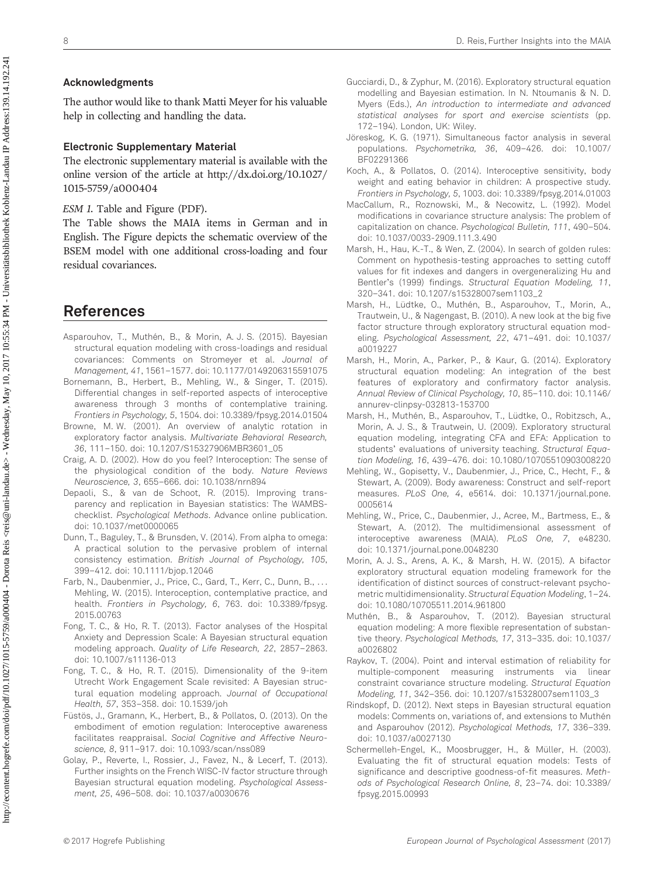#### Acknowledgments

The author would like to thank Matti Meyer for his valuable help in collecting and handling the data.

#### Electronic Supplementary Material

The electronic supplementary material is available with the online version of the article at [http://dx.doi.org/](http://dx.doi.org/10.1027/1015-5759/a000404)10.1027/ 1015-5759/a[000404](http://dx.doi.org/10.1027/1015-5759/a000404)

ESM 1. Table and Figure (PDF).

The Table shows the MAIA items in German and in English. The Figure depicts the schematic overview of the BSEM model with one additional cross-loading and four residual covariances.

# References

- Asparouhov, T., Muthén, B., & Morin, A. J. S. (2015). Bayesian structural equation modeling with cross-loadings and residual covariances: Comments on Stromeyer et al. Journal of Management, 41, 1561–1577. [doi: 10.1177/0149206315591075](http://dx.doi.org/10.1177/0149206315591075)
- Bornemann, B., Herbert, B., Mehling, W., & Singer, T. (2015). Differential changes in self-reported aspects of interoceptive awareness through 3 months of contemplative training. Frontiers in Psychology, 5, 1504. [doi: 10.3389/fpsyg.2014.01504](http://dx.doi.org/10.3389/fp�syg.2014.01504)
- Browne, M. W. (2001). An overview of analytic rotation in exploratory factor analysis. Multivariate Behavioral Research, 36, 111–150. [doi: 10.1207/S15327906MBR3601\\_05](http://dx.doi.org/10.1207/S15327906MBR3601_05)
- Craig, A. D. (2002). How do you feel? Interoception: The sense of the physiological condition of the body. Nature Reviews Neuroscience, 3, 655–666. [doi: 10.1038/nrn894](http://dx.doi.org/10.1038/nrn894)
- Depaoli, S., & van de Schoot, R. (2015). Improving transparency and replication in Bayesian statistics: The WAMBSchecklist. Psychological Methods. [Advance online publication.](http://dx.doi.org/10.1037/met0000065) [doi: 10.1037/met0000065](http://dx.doi.org/10.1037/met0000065)
- Dunn, T., Baguley, T., & Brunsden, V. (2014). From alpha to omega: A practical solution to the pervasive problem of internal consistency estimation. British Journal of Psychology, 105, 399–412. [doi: 10.1111/bjop.12046](http://dx.doi.org/10.1111/bjop.12046)
- Farb, N., Daubenmier, J., Price, C., Gard, T., Kerr, C., Dunn, B., ... Mehling, W. (2015). Interoception, contemplative practice, and health. Frontiers in Psychology, 6, 763. [doi: 10.3389/fpsyg.](http://dx.doi.org/10.3389/fp�syg.2015.00763) [2015.00763](http://dx.doi.org/10.3389/fp�syg.2015.00763)
- Fong, T. C., & Ho, R. T. (2013). Factor analyses of the Hospital Anxiety and Depression Scale: A Bayesian structural equation modeling approach. Quality of Life Research, 22, 2857–2863. [doi: 10.1007/s11136-013](http://dx.doi.org/10.1007/s11136-013)
- Fong, T. C., & Ho, R. T. (2015). Dimensionality of the 9-item Utrecht Work Engagement Scale revisited: A Bayesian structural equation modeling approach. Journal of Occupational Health, 57, 353–358. [doi: 10.1539/joh](http://dx.doi.org/10.1539/joh)
- Füstös, J., Gramann, K., Herbert, B., & Pollatos, O. (2013). On the embodiment of emotion regulation: Interoceptive awareness facilitates reappraisal. Social Cognitive and Affective Neuroscience, 8, 911–917. [doi: 10.1093/scan/nss089](http://dx.doi.org/10.1093/scan/nss089)
- Golay, P., Reverte, I., Rossier, J., Favez, N., & Lecerf, T. (2013). Further insights on the French WISC-IV factor structure through Bayesian structural equation modeling. Psychological Assessment, 25, 496–508. [doi: 10.1037/a0030676](http://dx.doi.org/10.1037/a0030676)
- Gucciardi, D., & Zyphur, M. (2016). Exploratory structural equation modelling and Bayesian estimation. In N. Ntoumanis & N. D. Myers (Eds.), An introduction to intermediate and advanced statistical analyses for sport and exercise scientists (pp. 172–194). London, UK: Wiley.
- Jöreskog, K. G. (1971). Simultaneous factor analysis in several populations. Psychometrika, 36, 409–426. [doi: 10.1007/](http://dx.doi.org/10.1007/BF02291366) [BF02291366](http://dx.doi.org/10.1007/BF02291366)
- Koch, A., & Pollatos, O. (2014). Interoceptive sensitivity, body weight and eating behavior in children: A prospective study. Frontiers in Psychology, 5, 1003. [doi: 10.3389/fpsyg.2014.01003](http://dx.doi.org/10.3389/fp�syg.2014.01003)
- MacCallum, R., Roznowski, M., & Necowitz, L. (1992). Model modifications in covariance structure analysis: The problem of capitalization on chance. Psychological Bulletin, 111, 490–504. [doi: 10.1037/0033-2909.111.3.490](http://dx.doi.org/10.1037/0033-2909.111.3.490)
- Marsh, H., Hau, K.-T., & Wen, Z. (2004). In search of golden rules: Comment on hypothesis-testing approaches to setting cutoff values for fit indexes and dangers in overgeneralizing Hu and Bentler's (1999) findings. Structural Equation Modeling, 11, 320–341. [doi: 10.1207/s15328007sem1103\\_2](http://dx.doi.org/10.1207/s15328007sem1103_2)
- Marsh, H., Lüdtke, O., Muthén, B., Asparouhov, T., Morin, A., Trautwein, U., & Nagengast, B. (2010). A new look at the big five factor structure through exploratory structural equation modeling. Psychological Assessment, 22, 471–491. [doi: 10.1037/](http://dx.doi.org/10.1037/a0019227) [a0019227](http://dx.doi.org/10.1037/a0019227)
- Marsh, H., Morin, A., Parker, P., & Kaur, G. (2014). Exploratory structural equation modeling: An integration of the best features of exploratory and confirmatory factor analysis. Annual Review of Clinical Psychology, 10, 85–110. [doi: 10.1146/](http://dx.doi.org/10.1146/an�nurev-clinpsy-032813-153700) [annurev-clinpsy-032813-153700](http://dx.doi.org/10.1146/an�nurev-clinpsy-032813-153700)
- Marsh, H., Muthén, B., Asparouhov, T., Lüdtke, O., Robitzsch, A., Morin, A. J. S., & Trautwein, U. (2009). Exploratory structural equation modeling, integrating CFA and EFA: Application to students' evaluations of university teaching. Structural Equation Modeling, 16, 439–476. [doi: 10.1080/10705510903008220](http://dx.doi.org/10.1080/10705510903008220)
- Mehling, W., Gopisetty, V., Daubenmier, J., Price, C., Hecht, F., & Stewart, A. (2009). Body awareness: Construct and self-report measures. PLoS One, 4, e5614. [doi: 10.1371/journal.pone.](http://dx.doi.org/10.1371/jour�nal.pone.0005614) [0005614](http://dx.doi.org/10.1371/jour�nal.pone.0005614)
- Mehling, W., Price, C., Daubenmier, J., Acree, M., Bartmess, E., & Stewart, A. (2012). The multidimensional assessment of interoceptive awareness (MAIA). PLoS One, 7, e48230. [doi: 10.1371/journal.pone.0048230](http://dx.doi.org/10.1371/jour�nal.pone.0048230)
- Morin, A. J. S., Arens, A. K., & Marsh, H. W. (2015). A bifactor exploratory structural equation modeling framework for the identification of distinct sources of construct-relevant psychometric multidimensionality. Structural Equation Modeling, 1–24. [doi: 10.1080/10705511.2014.961800](http://dx.doi.org/10.1080/10705511.2014.961800)
- Muthén, B., & Asparouhov, T. (2012). Bayesian structural equation modeling: A more flexible representation of substantive theory. Psychological Methods, 17, 313–335. [doi: 10.1037/](http://dx.doi.org/10.1037/a0026802) [a0026802](http://dx.doi.org/10.1037/a0026802)
- Raykov, T. (2004). Point and interval estimation of reliability for multiple-component measuring instruments via linear constraint covariance structure modeling. Structural Equation Modeling, 11, 342–356. [doi: 10.1207/s15328007sem1103\\_3](http://dx.doi.org/10.1207/s15328007sem1103_3)
- Rindskopf, D. (2012). Next steps in Bayesian structural equation models: Comments on, variations of, and extensions to Muthén and Asparouhov (2012). Psychological Methods, 17, 336–339. [doi: 10.1037/a0027130](http://dx.doi.org/10.1037/a0027130)
- Schermelleh-Engel, K., Moosbrugger, H., & Müller, H. (2003). Evaluating the fit of structural equation models: Tests of significance and descriptive goodness-of-fit measures. Methods of Psychological Research Online, 8, 23–74. [doi: 10.3389/](http://dx.doi.org/10.3389/fp�syg.2015.00993) [fpsyg.2015.00993](http://dx.doi.org/10.3389/fp�syg.2015.00993)